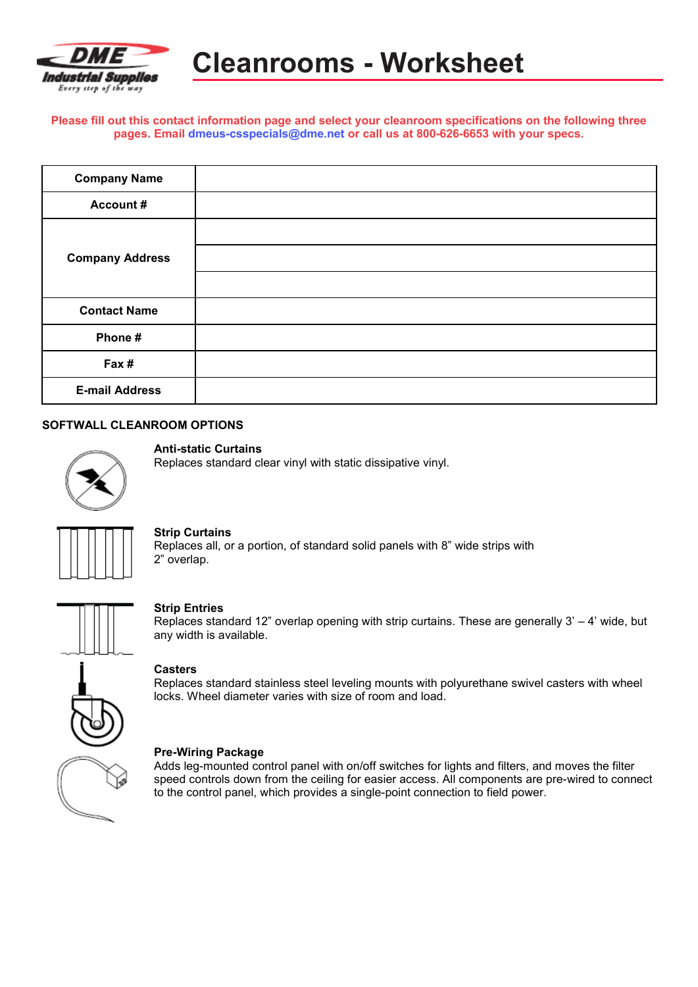

**Please fill out this contact information page and select your cleanroom specifications on the following three pages. Email [dmeus-csspecials@dme.net](mailto:dmeus-csspecials@dme.net) or call us at 800-626-6653 with your specs.**

| <b>Company Name</b>    |  |
|------------------------|--|
| <b>Account#</b>        |  |
|                        |  |
| <b>Company Address</b> |  |
|                        |  |
| <b>Contact Name</b>    |  |
| Phone#                 |  |
| Fax #                  |  |
| <b>E-mail Address</b>  |  |

#### **SOFTWALL CLEANROOM OPTIONS**



#### **Anti-static Curtains**

Replaces standard clear vinyl with static dissipative vinyl.



# **Strip Curtains**

Replaces all, or a portion, of standard solid panels with 8" wide strips with 2" overlap.



#### **Strip Entries**

Replaces standard 12" overlap opening with strip curtains. These are generally  $3' - 4'$  wide, but any width is available.

# **Casters**

Replaces standard stainless steel leveling mounts with polyurethane swivel casters with wheel locks. Wheel diameter varies with size of room and load.



# **Pre-Wiring Package**

Adds leg-mounted control panel with on/off switches for lights and filters, and moves the filter speed controls down from the ceiling for easier access. All components are pre-wired to connect to the control panel, which provides a single-point connection to field power.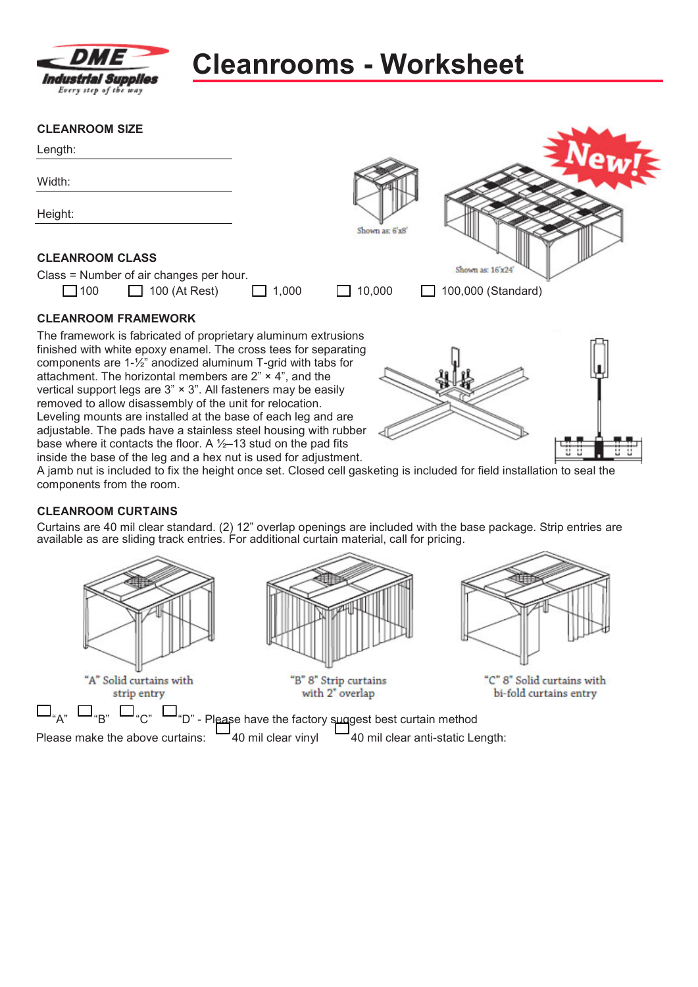

# **Cleanrooms - Worksheet**

# **CLEANROOM SIZE**

| Length:                                                                                                                           |       |                 |                    |  |
|-----------------------------------------------------------------------------------------------------------------------------------|-------|-----------------|--------------------|--|
| Width:                                                                                                                            |       |                 |                    |  |
| Height:                                                                                                                           |       |                 |                    |  |
|                                                                                                                                   |       | Shown as: 6'x8' |                    |  |
| <b>CLEANROOM CLASS</b>                                                                                                            |       |                 |                    |  |
| Class = Number of air changes per hour.                                                                                           |       |                 | Shown as: 16'x24'  |  |
| $\Box$ 100<br>$\Box$ 100 (At Rest)                                                                                                | 1,000 | 10,000          | 100,000 (Standard) |  |
| <b>CLEANROOM FRAMEWORK</b>                                                                                                        |       |                 |                    |  |
| The framework is fabricated of proprietary aluminum extrusions                                                                    |       |                 |                    |  |
| finished with white epoxy enamel. The cross tees for separating                                                                   |       |                 |                    |  |
| components are $1-\frac{1}{2}$ anodized aluminum T-grid with tabs for                                                             |       |                 |                    |  |
| attachment. The horizontal members are $2" \times 4"$ , and the<br>vertical support legs are 3" × 3". All fasteners may be easily |       |                 |                    |  |
| removed to allow disassembly of the unit for relocation.                                                                          |       |                 |                    |  |
| Leveling mounts are installed at the base of each leg and are                                                                     |       |                 |                    |  |

inside the base of the leg and a hex nut is used for adjustment. A jamb nut is included to fix the height once set. Closed cell gasketing is included for field installation to seal the components from the room.

# **CLEANROOM CURTAINS**

Curtains are 40 mil clear standard. (2) 12" overlap openings are included with the base package. Strip entries are available as are sliding track entries. For additional curtain material, call for pricing.



adjustable. The pads have a stainless steel housing with rubber base where it contacts the floor. A  $\frac{1}{2}$ –13 stud on the pad fits





"B" 8" Strip curtains with 2" overlap



"C" 8" Solid curtains with bi-fold curtains entry

"A"  $\Box$ "B"  $\Box$ "C"  $\Box$ "D" - Please have the factory suggest best curtain method Please make the above curtains:  $-40$  mil clear vinyl  $-40$  mil clear anti-static Length: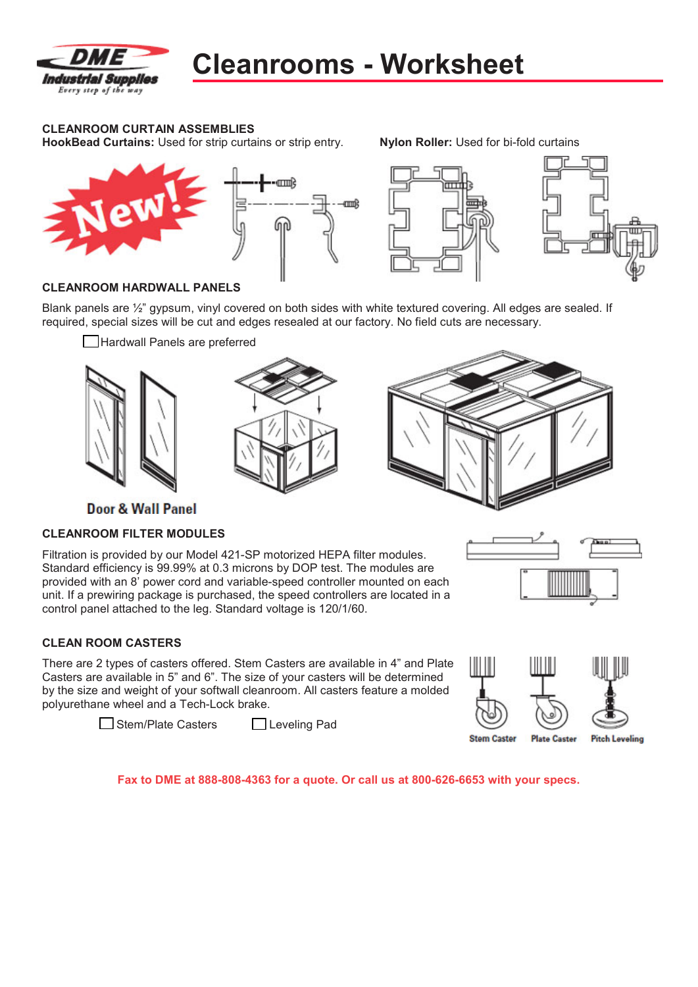

# **CLEANROOM CURTAIN ASSEMBLIES**

**HookBead Curtains:** Used for strip curtains or strip entry. **Nylon Roller:** Used for bi-fold curtains





# **CLEANROOM HARDWALL PANELS**

Blank panels are ½" gypsum, vinyl covered on both sides with white textured covering. All edges are sealed. If required, special sizes will be cut and edges resealed at our factory. No field cuts are necessary.

Hardwall Panels are preferred







**Door & Wall Panel** 

# **CLEANROOM FILTER MODULES**

Filtration is provided by our Model 421-SP motorized HEPA filter modules. Standard efficiency is 99.99% at 0.3 microns by DOP test. The modules are provided with an 8' power cord and variable-speed controller mounted on each unit. If a prewiring package is purchased, the speed controllers are located in a control panel attached to the leg. Standard voltage is 120/1/60.

# **CLEAN ROOM CASTERS**

There are 2 types of casters offered. Stem Casters are available in 4" and Plate Casters are available in 5" and 6". The size of your casters will be determined by the size and weight of your softwall cleanroom. All casters feature a molded polyurethane wheel and a Tech-Lock brake.

□ Stem/Plate Casters □ Leveling Pad



**Fax to DME at 888-808-4363 for a quote. Or call us at 800-626-6653 with your specs.**